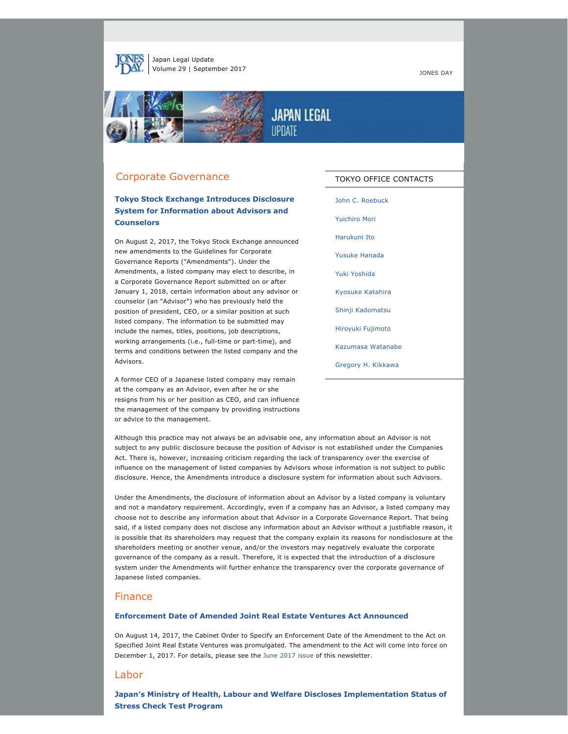

Japan Legal Update Volume 29 | September 2017 **JONES DAY** 



## Corporate Governance

# **Tokyo Stock Exchange Introduces Disclosure System for Information about Advisors and Counselors**

On August 2, 2017, the Tokyo Stock Exchange announced new amendments to the Guidelines for Corporate Governance Reports ("Amendments"). Under the Amendments, a listed company may elect to describe, in a Corporate Governance Report submitted on or after January 1, 2018, certain information about any advisor or counselor (an "Advisor") who has previously held the position of president, CEO, or a similar position at such listed company. The information to be submitted may include the names, titles, positions, job descriptions, working arrangements (i.e., full-time or part-time), and terms and conditions between the listed company and the Advisors.

A former CEO of a Japanese listed company may remain at the company as an Advisor, even after he or she resigns from his or her position as CEO, and can influence the management of the company by providing instructions or advice to the management.

TOKYO OFFICE CONTACTS

[John C. Roebuck](http://jonesday.com/jroebuck)

[Yuichiro Mori](http://jonesday.com/ymori) [Harukuni Ito](http://www.jonesday.com/harukuniito)

[Yusuke Hanada](http://www.jonesday.com/yhanada)

[Yuki Yoshida](http://www.jonesday.com/yyoshida)

[Kyosuke Katahira](http://www.jonesday.com/kkatahira)

[Shinji Kadomatsu](http://www.jonesday.com/skadomatsu)

[Hiroyuki Fujimoto](http://www.jonesday.com/hfujimoto)

[Kazumasa Watanabe](http://www.jonesday.com/kwatanabe)

[Gregory H. Kikkawa](http://www.jonesday.com/gkikkawa)

Although this practice may not always be an advisable one, any information about an Advisor is not subject to any public disclosure because the position of Advisor is not established under the Companies Act. There is, however, increasing criticism regarding the lack of transparency over the exercise of influence on the management of listed companies by Advisors whose information is not subject to public disclosure. Hence, the Amendments introduce a disclosure system for information about such Advisors.

Under the Amendments, the disclosure of information about an Advisor by a listed company is voluntary and not a mandatory requirement. Accordingly, even if a company has an Advisor, a listed company may choose not to describe any information about that Advisor in a Corporate Governance Report. That being said, if a listed company does not disclose any information about an Advisor without a justifiable reason, it is possible that its shareholders may request that the company explain its reasons for nondisclosure at the shareholders meeting or another venue, and/or the investors may negatively evaluate the corporate governance of the company as a result. Therefore, it is expected that the introduction of a disclosure system under the Amendments will further enhance the transparency over the corporate governance of Japanese listed companies.

### Finance

#### **Enforcement Date of Amended Joint Real Estate Ventures Act Announced**

On August 14, 2017, the Cabinet Order to Specify an Enforcement Date of the Amendment to the Act on Specified Joint Real Estate Ventures was promulgated. The amendment to the Act will come into force on December 1, 2017. For details, please see the [June 2017 issue](http://www.jonesday.com/files/Publication/c521e7f4-5c7b-4dc4-ab3e-e2edde2b36b6/Presentation/PublicationAttachment/8334d634-2c20-41dd-aa52-fcdfdd2e79be/Japan%20Legal%20Update%20June%202017.pdf) of this newsletter.

#### Labor

**Japan's Ministry of Health, Labour and Welfare Discloses Implementation Status of Stress Check Test Program**